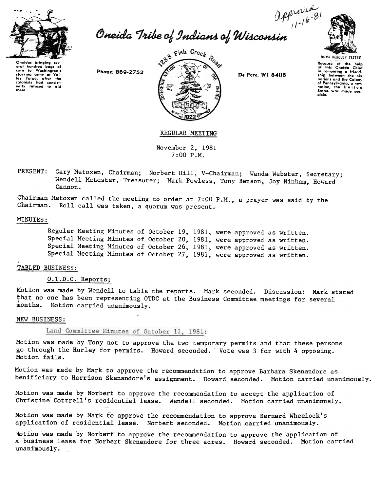

Oneida Tribe of Indians of Wisconsin  $\frac{0.44^{10.8}}{10^{10.8}}$ 



Oneidas bringing sev-<br>eral hundred baas of aral hundred bags af<br>carn to Washington's<br>starving army at Val-<br>ley Forge, after the<br>colonists had consist-<br>ently refused to aid<br>tham.



Because of the help<br>of this Oneida Chief in cementing a friend.<br>ship between the six nations and the Colony of Pennsylvania, a new<br>nation, the United<br>States was mode possibl..

REGULAR MEETING

November 2, 1981 7 :00 P.M.

PRESENT: Gary Metoxen, Chairman; Norbert Hill, V-Chairman; Wanda Webster, Secretary; Wendell McLester, Treasurer; Mark Powless, Tony Benson, Joy Ninham, Howard Cannon.

Chairman Metoxen called the meeting to order at  $7:00$  P.M., a prayer was said by the Chairman. Roll call was taken, a quorum was present.

#### MINUTES:

Regular Meeting Minutes of October 19, 1981, were approved as written. Special Meeting Minutes of October 20, 1981, were approved as written. Special Meeting Minutes of October 26, 1981, were approved as written. Special Meeting Minutes of October 27,1981, were approved as written.

# . TABLED BUSINESS:

D.T.D.C. Reports;

Motion was made by Wendell to table the reports. Mark seconded. Discussion: Mark stated that no one has been representing OTDC at the Business Committee meetings for several months. Motion carried unanimously

#### NEW BUSINESS:

Land Committee Minutes of October 12, 1981:

Motion was made by Tony not to approve the two temporary permits and that these persons go through the Hurley for permits. Howard seconded. Vote was 3 for with 4 opposing. Motion fails.

Motion was made by Mark to approve the recommendation to approve Barbara Skenandore as benificiary to Harrison Skenandore's assignment. Howard seconded. Motion carried unanimously.

Motion was made by Norbert to approve the recommendation to accept the application of Christine Cottrell's residential lease. Wendell seconded. Motion carried unanimously.

Motion was made by Mark to approve the recommendation to approve Bernard Wheelock's application of residential lease. Norbert seconded. Motion carried unanimously.

1otion was made by Norbert-to approve the recommendation to approve the application of a business lease for Norbert Skenandore for three acres. Howard seconded. Motion carried  $unanimously.$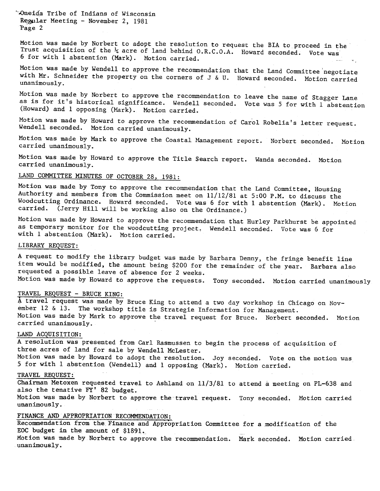*Aneida Tribe of Indians of Wisconsin* Regular Meeting - November 2, 1981 Page 2

Motion was made by Norbert to adopt the resolution to request the BIA to proceed in the Trust acquisition of the  $\frac{1}{4}$  acre of land behind O.R.C.O.A. Howard seconded. Vote was 6 for with 1 abstention (Mark). Motion carried. -

Motion was made by Wendell to approve the recommendation that the Land Committee negotiate with Mr. Schneider the property on the corners of J & U. Howard seconded. Motion carried unanimously.

Motion was made by Norbert to approve the recommendation to leave the name of Stagger Lane as is for it's historical significance. Wendell seconded. Vote was 5 for with 1 abstention (Howard) and 1 opposing (Mark). Motion carried.

Motion was made by Howard to approve the recommendation of Carol Robelia's letter request. Wendell seconded. Motion carried unanimously.

Motion was made by Mark to approve the Coastal Management report. Norbert seconded. Motion carried unanimously.

Motion was made by Howard to approve the Title Search report. Wanda seconded. Motion carried unanimously.

# LAND COMMITTEE MINUTES OF OCTOBER 28, 1981:

Motion was made by Tony to approve the recommendation that the Land Committee, Housing Authority and members from the Commission meet on  $11/12/81$  at 5:00 P.M. to discuss the Woodcutting Ordinance. Howard seconded. Vote was 6 for with 1 abstention (Mark). Motion carried. (Jerry Hill will be working also on the Ordinance.)

Motion was made by Howard to approve the recommendation that Hurley Parkhurst be appointed as temporary monitor for the woodcutting project. Wendell seconded. Vote was 6 for with 1 abstention (Mark). Motion carried.

### LIBRARY REQUEST:

A request to modify the library budget was made by Barbara Denny, the fringe benefit line item would be modified, the amount being \$200 for the remainder of the year. Barbara also requested a possible leave of absence for 2 weeks. Motion was made by Howard to approve the requests. Tony seconded. Motion carried unanimously

#### TRAVEL REQUEST - BRUCE KING:

A travel request was made by Bruce King to attend a two day workshop in Chicago on November 12 & 13. The workshop title is Strategie Information for Management. Motion was made by Mark to approve the travel request for Bruce. Norbert seconded. Motion carried unanimously.

#### LAND ACQUISITION:

A resolution was presented from Carl Rasmussen to begin the process of acquisition of three acres of land for sale by Wendell McLester. Motion was made by Howard to adopt the resolution. Joy seconded. Vote on the motion was 5 for with 1 abstention (Wendell) and 1 opposing (Mark). Motion carried.

#### TRAVEL REQUEST:

Chairman Metoxen requested travel to Ashland on 11/3/81 to attend a meeting on PL-638 and also the tenative FY' 82 budget.

Motion was made by Norbert to approve the travel request. Tony seconded. Motion carried unanimously.

### FINANCE AND APPROPRIATION RECOMMENDATION;

Recommendation from the Finance and Appropriation Committee for a modification of the EOC budget in the amount of \$1891.

Motion was made by Norbert to approve the recommendation. Mark seconded. Motion carried unanimously.